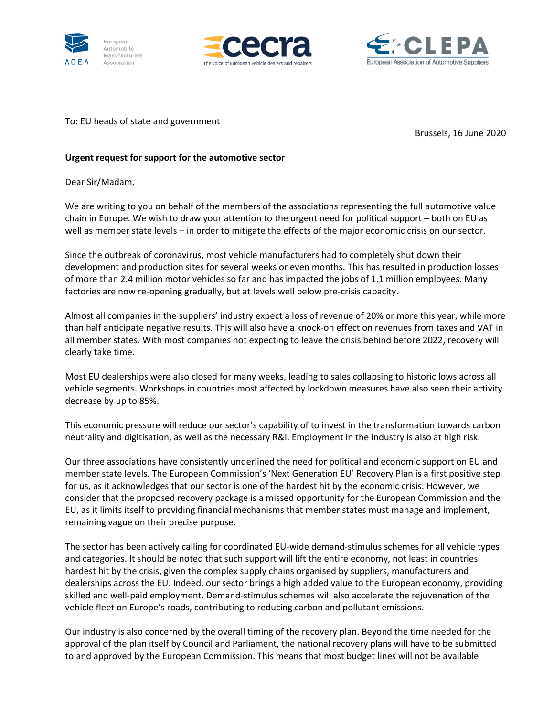





To: EU heads of state and government

Brussels, 16 June 2020

## **Urgent request for support for the automotive sector**

Dear Sir/Madam,

We are writing to you on behalf of the members of the associations representing the full automotive value chain in Europe. We wish to draw your attention to the urgent need for political support – both on EU as well as member state levels – in order to mitigate the effects of the major economic crisis on our sector.

Since the outbreak of coronavirus, most vehicle manufacturers had to completely shut down their development and production sites for several weeks or even months. This has resulted in production losses of more than 2.4 million motor vehicles so far and has impacted the jobs of 1.1 million employees. Many factories are now re-opening gradually, but at levels well below pre-crisis capacity.

Almost all companies in the suppliers' industry expect a loss of revenue of 20% or more this year, while more than half anticipate negative results. This will also have a knock-on effect on revenues from taxes and VAT in all member states. With most companies not expecting to leave the crisis behind before 2022, recovery will clearly take time.

Most EU dealerships were also closed for many weeks, leading to sales collapsing to historic lows across all vehicle segments. Workshops in countries most affected by lockdown measures have also seen their activity decrease by up to 85%.

This economic pressure will reduce our sector's capability of to invest in the transformation towards carbon neutrality and digitisation, as well as the necessary R&I. Employment in the industry is also at high risk.

Our three associations have consistently underlined the need for political and economic support on EU and member state levels. The European Commission's 'Next Generation EU' Recovery Plan is a first positive step for us, as it acknowledges that our sector is one of the hardest hit by the economic crisis. However, we consider that the proposed recovery package is a missed opportunity for the European Commission and the EU, as it limits itself to providing financial mechanisms that member states must manage and implement, remaining vague on their precise purpose.

The sector has been actively calling for coordinated EU-wide demand-stimulus schemes for all vehicle types and categories. It should be noted that such support will lift the entire economy, not least in countries hardest hit by the crisis, given the complex supply chains organised by suppliers, manufacturers and dealerships across the EU. Indeed, our sector brings a high added value to the European economy, providing skilled and well-paid employment. Demand-stimulus schemes will also accelerate the rejuvenation of the vehicle fleet on Europe's roads, contributing to reducing carbon and pollutant emissions.

Our industry is also concerned by the overall timing of the recovery plan. Beyond the time needed for the approval of the plan itself by Council and Parliament, the national recovery plans will have to be submitted to and approved by the European Commission. This means that most budget lines will not be available